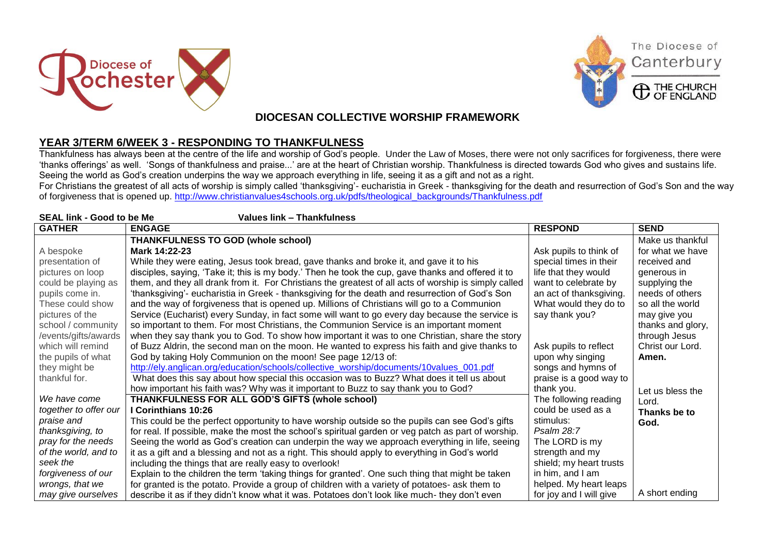





The Diocese of

Canterbury

## **DIOCESAN COLLECTIVE WORSHIP FRAMEWORK**

## **YEAR 3/TERM 6/WEEK 3 - RESPONDING TO THANKFULNESS**

Thankfulness has always been at the centre of the life and worship of God's people. Under the Law of Moses, there were not only sacrifices for forgiveness, there were 'thanks offerings' as well. 'Songs of thankfulness and praise...' are at the heart of Christian worship. Thankfulness is directed towards God who gives and sustains life. Seeing the world as God's creation underpins the way we approach everything in life, seeing it as a gift and not as a right.

For Christians the greatest of all acts of worship is simply called 'thanksgiving'- eucharistia in Greek - thanksgiving for the death and resurrection of God's Son and the way of forgiveness that is opened up. [http://www.christianvalues4schools.org.uk/pdfs/theological\\_backgrounds/Thankfulness.pdf](http://www.christianvalues4schools.org.uk/pdfs/theological_backgrounds/Thankfulness.pdf)

| <b>SEAL link - Good to be Me</b><br><b>Values link - Thankfulness</b> |                                                                                                       |                         |                   |  |  |
|-----------------------------------------------------------------------|-------------------------------------------------------------------------------------------------------|-------------------------|-------------------|--|--|
| <b>GATHER</b>                                                         | <b>ENGAGE</b>                                                                                         | <b>RESPOND</b>          | <b>SEND</b>       |  |  |
|                                                                       | <b>THANKFULNESS TO GOD (whole school)</b>                                                             |                         | Make us thankful  |  |  |
| A bespoke                                                             | Mark 14:22-23                                                                                         | Ask pupils to think of  | for what we have  |  |  |
| presentation of                                                       | While they were eating, Jesus took bread, gave thanks and broke it, and gave it to his                | special times in their  | received and      |  |  |
| pictures on loop                                                      | disciples, saying, 'Take it; this is my body.' Then he took the cup, gave thanks and offered it to    | life that they would    | generous in       |  |  |
| could be playing as                                                   | them, and they all drank from it. For Christians the greatest of all acts of worship is simply called | want to celebrate by    | supplying the     |  |  |
| pupils come in.                                                       | 'thanksgiving'- eucharistia in Greek - thanksgiving for the death and resurrection of God's Son       | an act of thanksgiving. | needs of others   |  |  |
| These could show                                                      | and the way of forgiveness that is opened up. Millions of Christians will go to a Communion           | What would they do to   | so all the world  |  |  |
| pictures of the                                                       | Service (Eucharist) every Sunday, in fact some will want to go every day because the service is       | say thank you?          | may give you      |  |  |
| school / community                                                    | so important to them. For most Christians, the Communion Service is an important moment               |                         | thanks and glory, |  |  |
| /events/gifts/awards                                                  | when they say thank you to God. To show how important it was to one Christian, share the story        |                         | through Jesus     |  |  |
| which will remind                                                     | of Buzz Aldrin, the second man on the moon. He wanted to express his faith and give thanks to         | Ask pupils to reflect   | Christ our Lord.  |  |  |
| the pupils of what                                                    | God by taking Holy Communion on the moon! See page 12/13 of:                                          | upon why singing        | Amen.             |  |  |
| they might be                                                         | http://ely.anglican.org/education/schools/collective_worship/documents/10values_001.pdf               | songs and hymns of      |                   |  |  |
| thankful for.                                                         | What does this say about how special this occasion was to Buzz? What does it tell us about            | praise is a good way to |                   |  |  |
|                                                                       | how important his faith was? Why was it important to Buzz to say thank you to God?                    | thank you.              | Let us bless the  |  |  |
| We have come                                                          | THANKFULNESS FOR ALL GOD'S GIFTS (whole school)                                                       | The following reading   | Lord.             |  |  |
| together to offer our                                                 | I Corinthians 10:26                                                                                   | could be used as a      | Thanks be to      |  |  |
| praise and                                                            | This could be the perfect opportunity to have worship outside so the pupils can see God's gifts       | stimulus:               | God.              |  |  |
| thanksgiving, to                                                      | for real. If possible, make the most the school's spiritual garden or veg patch as part of worship.   | Psalm 28:7              |                   |  |  |
| pray for the needs                                                    | Seeing the world as God's creation can underpin the way we approach everything in life, seeing        | The LORD is my          |                   |  |  |
| of the world, and to                                                  | it as a gift and a blessing and not as a right. This should apply to everything in God's world        | strength and my         |                   |  |  |
| seek the                                                              | including the things that are really easy to overlook!                                                | shield; my heart trusts |                   |  |  |
| forgiveness of our                                                    | Explain to the children the term 'taking things for granted'. One such thing that might be taken      | in him, and I am        |                   |  |  |
| wrongs, that we                                                       | for granted is the potato. Provide a group of children with a variety of potatoes- ask them to        | helped. My heart leaps  |                   |  |  |
| may give ourselves                                                    | describe it as if they didn't know what it was. Potatoes don't look like much-they don't even         | for joy and I will give | A short ending    |  |  |